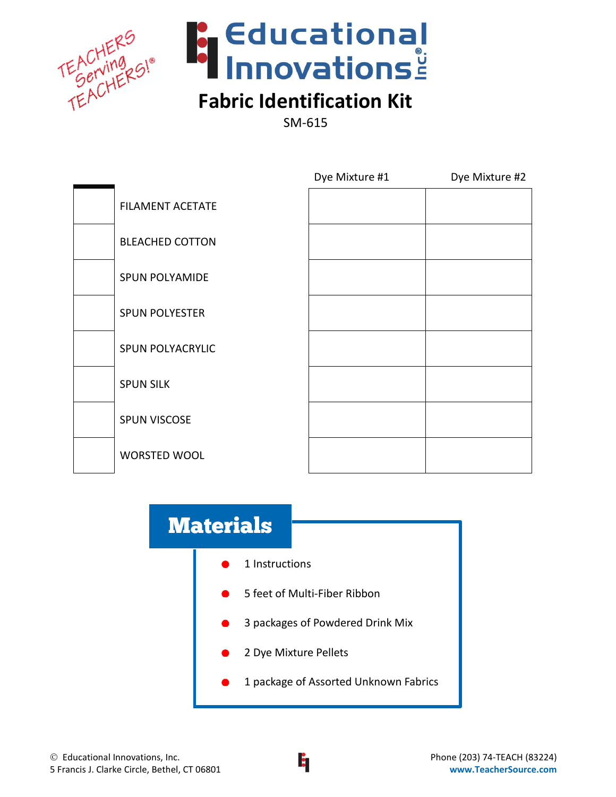



# **Fabric Identification Kit**

SM-615

|                         | Dye Mixture #1 | Dye Mixture #2 |
|-------------------------|----------------|----------------|
| <b>FILAMENT ACETATE</b> |                |                |
| <b>BLEACHED COTTON</b>  |                |                |
| <b>SPUN POLYAMIDE</b>   |                |                |
| <b>SPUN POLYESTER</b>   |                |                |
| SPUN POLYACRYLIC        |                |                |
| <b>SPUN SILK</b>        |                |                |
| SPUN VISCOSE            |                |                |
| WORSTED WOOL            |                |                |

# 1 Instructions 5 feet of Multi-Fiber Ribbon 3 packages of Powdered Drink Mix 2 Dye Mixture Pellets 1 package of Assorted Unknown Fabrics **Materials**

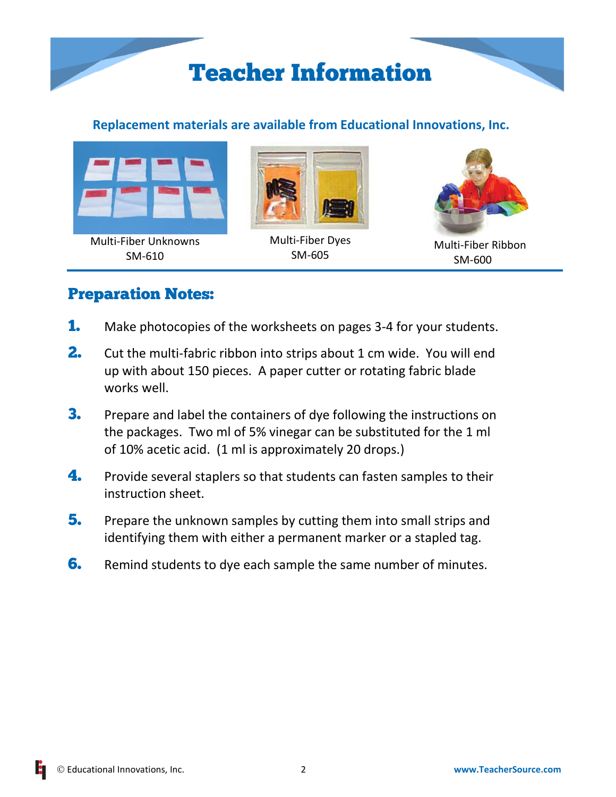

# **Replacement materials are available from Educational Innovations, Inc.**



Multi-Fiber Unknowns SM-610



Multi-Fiber Dyes SM-605



Multi-Fiber Ribbon SM-600

# Preparation Notes:

- **1.** Make photocopies of the worksheets on pages 3-4 for your students.
- **2.** Cut the multi-fabric ribbon into strips about 1 cm wide. You will end up with about 150 pieces. A paper cutter or rotating fabric blade works well.
- **3.** Prepare and label the containers of dye following the instructions on the packages. Two ml of 5% vinegar can be substituted for the 1 ml of 10% acetic acid. (1 ml is approximately 20 drops.)
- **4.** Provide several staplers so that students can fasten samples to their instruction sheet.
- **5.** Prepare the unknown samples by cutting them into small strips and identifying them with either a permanent marker or a stapled tag.
- **6.** Remind students to dye each sample the same number of minutes.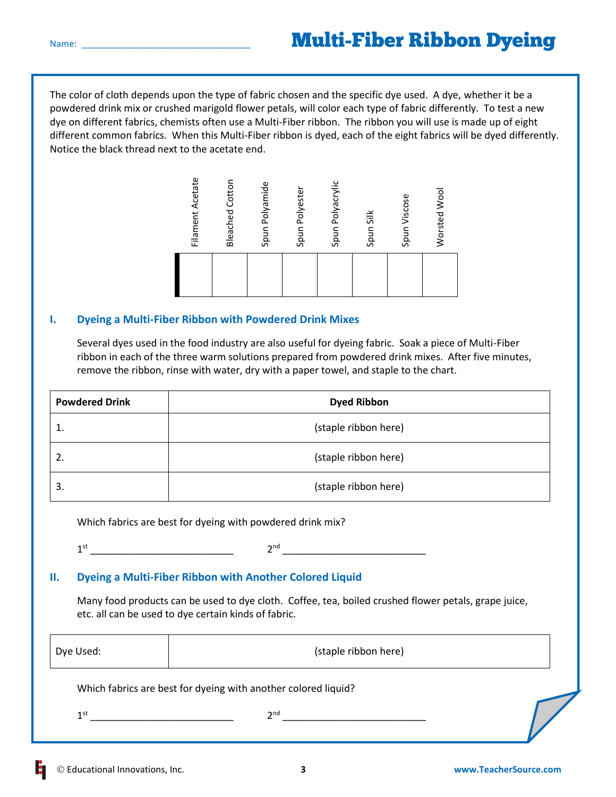The color of cloth depends upon the type of fabric chosen and the specific dye used. A dye, whether it be a powdered drink mix or crushed marigold flower petals, will color each type of fabric differently. To test a new dye on different fabrics, chemists often use a Multi-Fiber ribbon. The ribbon you will use is made up of eight different common fabrics. When this Multi-Fiber ribbon is dyed, each of the eight fabrics will be dyed differently. Notice the black thread next to the acetate end.



#### **I. Dyeing a Multi-Fiber Ribbon with Powdered Drink Mixes**

Several dyes used in the food industry are also useful for dyeing fabric. Soak a piece of Multi-Fiber ribbon in each of the three warm solutions prepared from powdered drink mixes. After five minutes, remove the ribbon, rinse with water, dry with a paper towel, and staple to the chart.

| <b>Powdered Drink</b> | <b>Dyed Ribbon</b>   |
|-----------------------|----------------------|
| ᆠ.                    | (staple ribbon here) |
| 2.                    | (staple ribbon here) |
| 3.                    | (staple ribbon here) |

Which fabrics are best for dyeing with powdered drink mix?

1 st \_\_\_\_\_\_\_\_\_\_\_\_\_\_\_\_\_\_\_\_\_\_\_\_\_\_ 2

 $2^{nd}$ 

#### **II. Dyeing a Multi-Fiber Ribbon with Another Colored Liquid**

Many food products can be used to dye cloth. Coffee, tea, boiled crushed flower petals, grape juice, etc. all can be used to dye certain kinds of fabric.

| Dye Used: | (staple ribbon here) |
|-----------|----------------------|
|-----------|----------------------|

Which fabrics are best for dyeing with another colored liquid?

1 st \_\_\_\_\_\_\_\_\_\_\_\_\_\_\_\_\_\_\_\_\_\_\_\_\_\_ 2 nd \_\_\_\_\_\_\_\_\_\_\_\_\_\_\_\_\_\_\_\_\_\_\_\_\_\_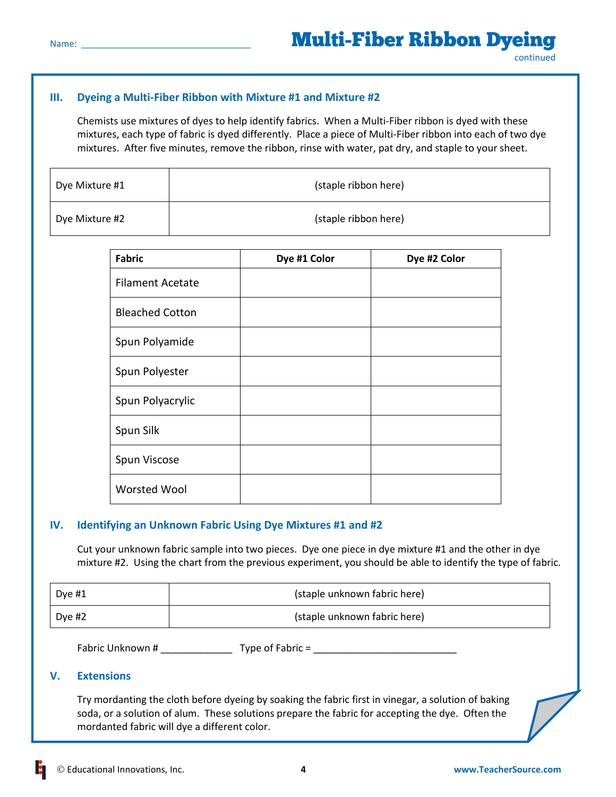### **III. Dyeing a Multi-Fiber Ribbon with Mixture #1 and Mixture #2**

Chemists use mixtures of dyes to help identify fabrics. When a Multi-Fiber ribbon is dyed with these mixtures, each type of fabric is dyed differently. Place a piece of Multi-Fiber ribbon into each of two dye mixtures. After five minutes, remove the ribbon, rinse with water, pat dry, and staple to your sheet.

| Dye Mixture #1 | (staple ribbon here) |
|----------------|----------------------|
| Dye Mixture #2 | (staple ribbon here) |

| <b>Fabric</b>           | Dye #1 Color | Dye #2 Color |
|-------------------------|--------------|--------------|
| <b>Filament Acetate</b> |              |              |
| <b>Bleached Cotton</b>  |              |              |
| Spun Polyamide          |              |              |
| Spun Polyester          |              |              |
| Spun Polyacrylic        |              |              |
| Spun Silk               |              |              |
| Spun Viscose            |              |              |
| Worsted Wool            |              |              |

#### **IV. Identifying an Unknown Fabric Using Dye Mixtures #1 and #2**

Cut your unknown fabric sample into two pieces. Dye one piece in dye mixture #1 and the other in dye mixture #2. Using the chart from the previous experiment, you should be able to identify the type of fabric.

| Dye $#1$ | (staple unknown fabric here) |
|----------|------------------------------|
| Dye #2   | (staple unknown fabric here) |

Fabric Unknown # Type of Fabric =

#### **V. Extensions**

Try mordanting the cloth before dyeing by soaking the fabric first in vinegar, a solution of baking soda, or a solution of alum. These solutions prepare the fabric for accepting the dye. Often the mordanted fabric will dye a different color.